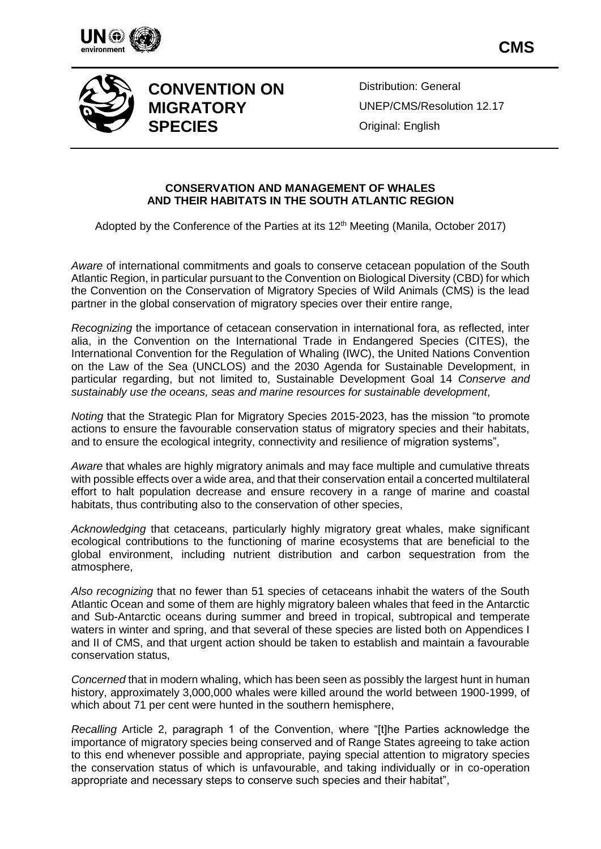



## **CONVENTION ON MIGRATORY SPECIES**

Distribution: General UNEP/CMS/Resolution 12.17 Original: English

## **CONSERVATION AND MANAGEMENT OF WHALES AND THEIR HABITATS IN THE SOUTH ATLANTIC REGION**

Adopted by the Conference of the Parties at its 12<sup>th</sup> Meeting (Manila, October 2017)

*Aware* of international commitments and goals to conserve cetacean population of the South Atlantic Region, in particular pursuant to the Convention on Biological Diversity (CBD) for which the Convention on the Conservation of Migratory Species of Wild Animals (CMS) is the lead partner in the global conservation of migratory species over their entire range,

*Recognizing* the importance of cetacean conservation in international fora, as reflected, inter alia, in the Convention on the International Trade in Endangered Species (CITES), the International Convention for the Regulation of Whaling (IWC), the United Nations Convention on the Law of the Sea (UNCLOS) and the 2030 Agenda for Sustainable Development, in particular regarding, but not limited to, Sustainable Development Goal 14 *Conserve and sustainably use the oceans, seas and marine resources for sustainable development*,

*Noting* that the Strategic Plan for Migratory Species 2015-2023, has the mission "to promote actions to ensure the favourable conservation status of migratory species and their habitats, and to ensure the ecological integrity, connectivity and resilience of migration systems",

*Aware* that whales are highly migratory animals and may face multiple and cumulative threats with possible effects over a wide area, and that their conservation entail a concerted multilateral effort to halt population decrease and ensure recovery in a range of marine and coastal habitats, thus contributing also to the conservation of other species,

*Acknowledging* that cetaceans, particularly highly migratory great whales, make significant ecological contributions to the functioning of marine ecosystems that are beneficial to the global environment, including nutrient distribution and carbon sequestration from the atmosphere,

*Also recognizing* that no fewer than 51 species of cetaceans inhabit the waters of the South Atlantic Ocean and some of them are highly migratory baleen whales that feed in the Antarctic and Sub-Antarctic oceans during summer and breed in tropical, subtropical and temperate waters in winter and spring, and that several of these species are listed both on Appendices I and II of CMS, and that urgent action should be taken to establish and maintain a favourable conservation status,

*Concerned* that in modern whaling, which has been seen as possibly the largest hunt in human history, approximately 3,000,000 whales were killed around the world between 1900-1999, of which about 71 per cent were hunted in the southern hemisphere,

*Recalling* Article 2, paragraph 1 of the Convention, where "[t]he Parties acknowledge the importance of migratory species being conserved and of Range States agreeing to take action to this end whenever possible and appropriate, paying special attention to migratory species the conservation status of which is unfavourable, and taking individually or in co-operation appropriate and necessary steps to conserve such species and their habitat",